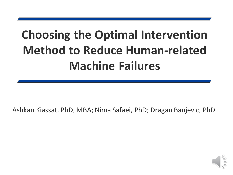### **Choosing the Optimal Intervention Method to Reduce Human-related Machine Failures**

Ashkan Kiassat, PhD, MBA; Nima Safaei, PhD; Dragan Banjevic, PhD

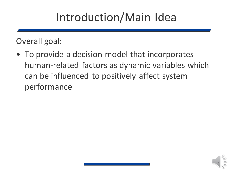#### Introduction/Main Idea

Overall goal:

• To provide a decision model that incorporates human-related factors as dynamic variables which can be influenced to positively affect system performance

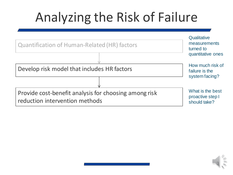# Analyzing the Risk of Failure

| <b>Quantification of Human-Related (HR) factors</b>                                     | Qualitative<br>measurements<br>turned to<br>quantitative ones |
|-----------------------------------------------------------------------------------------|---------------------------------------------------------------|
| Develop risk model that includes HR factors                                             | How much risk of<br>failure is the<br>system facing?          |
|                                                                                         |                                                               |
| Provide cost-benefit analysis for choosing among risk<br>reduction intervention methods | What is the best<br>proactive step I<br>should take?          |

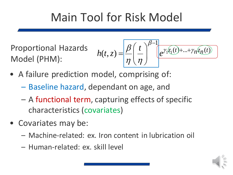#### Main Tool for Risk Model

Proportional Hazards Model (PHM):

$$
h(t,z) = \frac{\beta}{\eta} \left(\frac{t}{\eta}\right)^{\beta-1} e^{\gamma_1 z_1(t) + \ldots + \gamma_n z_n(t)}
$$

- A failure prediction model, comprising of:
	- Baseline hazard, dependant on age, and
	- A functional term, capturing effects of specific characteristics (covariates)
- Covariates may be:
	- Machine-related: ex. Iron content in lubrication oil
	- Human-related: ex. skill level

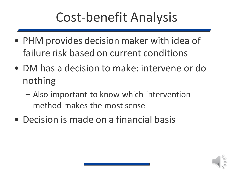# Cost-benefit Analysis

- PHM provides decision maker with idea of failure risk based on current conditions
- DM has a decision to make: intervene or do nothing
	- Also important to know which intervention method makes the most sense
- Decision is made on a financial basis

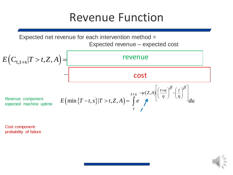#### Revenue Function

Expected revenue – expected cost

Expected net revenue for each intervention method =  
\nExpected revenue – expected cost  
\n
$$
E(C_{t,t+s}|T>t,Z,A) =
$$
\n
$$
=
$$
\n
$$
=
$$
\n
$$
=
$$
\n
$$
=
$$
\n
$$
=
$$
\n
$$
=
$$
\n
$$
=
$$
\n
$$
=
$$
\n
$$
=
$$
\n
$$
=
$$
\n
$$
=
$$
\n
$$
=
$$
\n
$$
=
$$
\n
$$
=
$$
\n
$$
=
$$
\n
$$
=
$$
\n
$$
=
$$
\n
$$
=
$$
\n
$$
=
$$
\n
$$
=
$$
\n
$$
=
$$
\n
$$
=
$$
\n
$$
=
$$
\n
$$
=
$$
\n
$$
=
$$
\n
$$
=
$$
\n
$$
=
$$
\n
$$
=
$$
\n
$$
=
$$
\n
$$
=
$$
\n
$$
=
$$
\n
$$
=
$$
\n
$$
=
$$
\n
$$
=
$$
\n
$$
=
$$
\n
$$
=
$$
\n
$$
=
$$
\n
$$
=
$$
\n
$$
=
$$
\n
$$
=
$$
\n
$$
=
$$
\n
$$
=
$$
\n
$$
=
$$
\n
$$
=
$$
\n
$$
=
$$
\n
$$
=
$$
\n
$$
=
$$
\n
$$
=
$$
\n
$$
=
$$
\n
$$
=
$$
\n
$$
=
$$
\n
$$
=
$$
\n
$$
=
$$
\n
$$
=
$$
\n
$$
=
$$
\n
$$
=
$$
\n
$$
=
$$
\n
$$
=
$$
\n
$$
=
$$
\n
$$
=
$$
\n
$$
=
$$
\n
$$
=
$$
\n
$$
=
$$
\n
$$
=
$$
\n
$$
=
$$
\n
$$
=
$$

Cost component: probability of failure

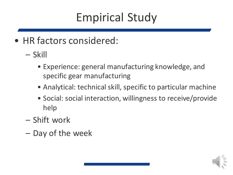#### Empirical Study

- HR factors considered:
	- Skill
		- Experience: general manufacturing knowledge, and specific gear manufacturing
		- Analytical: technical skill, specific to particular machine
		- Social: social interaction, willingness to receive/provide help
	- Shift work
	- $-$  Day of the week

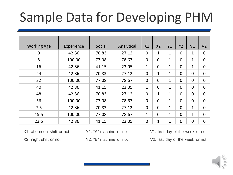### Sample Data for Developing PHM

| <b>Working Age</b> | Experience | Social | Analytical | X1             | X <sub>2</sub> | Y1           | Y2             | V <sub>1</sub> | V <sub>2</sub> |
|--------------------|------------|--------|------------|----------------|----------------|--------------|----------------|----------------|----------------|
| $\mathbf 0$        | 42.86      | 70.83  | 27.12      | $\mathbf 0$    | 1              | $\mathbf{1}$ | $\overline{0}$ | $\mathbf 1$    | $\overline{0}$ |
| 8                  | 100.00     | 77.08  | 78.67      | $\mathbf 0$    | $\overline{0}$ | $\mathbf{1}$ | $\overline{0}$ | $\mathbf{1}$   | $\Omega$       |
| 16                 | 42.86      | 41.15  | 23.05      | $\mathbf{1}$   | $\overline{0}$ | $\mathbf{1}$ | $\overline{0}$ | $\mathbf{1}$   | $\Omega$       |
| 24                 | 42.86      | 70.83  | 27.12      | $\overline{0}$ | $\mathbf{1}$   | 1            | $\overline{0}$ | $\mathbf 0$    | $\overline{0}$ |
| 32                 | 100.00     | 77.08  | 78.67      | $\overline{0}$ | $\overline{0}$ | $\mathbf{1}$ | $\overline{0}$ | $\overline{0}$ | $\Omega$       |
| 40                 | 42.86      | 41.15  | 23.05      | $\mathbf{1}$   | $\overline{0}$ | $\mathbf{1}$ | $\overline{0}$ | $\overline{0}$ | $\Omega$       |
| 48                 | 42.86      | 70.83  | 27.12      | $\overline{0}$ | $\mathbf{1}$   | $\mathbf{1}$ | $\overline{0}$ | $\overline{0}$ | $\Omega$       |
| 56                 | 100.00     | 77.08  | 78.67      | $\mathbf 0$    | $\overline{0}$ | $\mathbf 1$  | $\overline{0}$ | $\overline{0}$ | $\overline{0}$ |
| 7.5                | 42.86      | 70.83  | 27.12      | $\mathbf 0$    | $\overline{0}$ | $\mathbf{1}$ | $\overline{0}$ | $\mathbf{1}$   | $\overline{0}$ |
| 15.5               | 100.00     | 77.08  | 78.67      | $\mathbf{1}$   | $\overline{0}$ | $\mathbf{1}$ | $\overline{0}$ | $\mathbf{1}$   | $\Omega$       |
| 23.5               | 42.86      | 41.15  | 23.05      | $\overline{0}$ | $\mathbf{1}$   | 1            | $\overline{0}$ | $\overline{0}$ | $\overline{0}$ |

X1: afternoon shift or not

X2: night shift or not

Y1: "A" machine or not

Y2: "B" machine or not

V1: first day of the week or not

V2: last day of the week or not

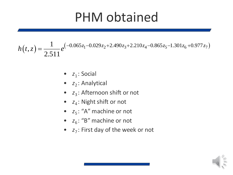### PHM obtained

 $(t, z) = \frac{1}{2.511} e^{(-0.065z_1 - 0.029z_2 + 2.490z_3 + 2.210z_4 - 0.865z_5 - 1.301z_6 + 0.977z_7)}$  $\mathcal{L}(z) = \frac{1}{2.744} e^{(-0.065z_1 - 0.029z_2 + 2.490z_3 + 2.210z_4 - 0.865z_5 - 1.301z_6 + 0.977z_7)}$  $h(t, z) = \frac{1}{2.511} e^{(-0.065z_1 - 0.029z_2 + 2.490z_3 + 2.210z_4 - 0.865z_5 - 1.301z_6 + 0.977z_7)}$  $=$ 

- $z_1$ : Social
- z<sub>2</sub>: Analytical
- *z*<sub>3</sub>: Afternoon shift or not
- $z_4$ : Night shift or not
- $z_5$ : "A" machine or not
- $z_6$ : "B" machine or not
- *z<sub>7</sub>*: First day of the week or not

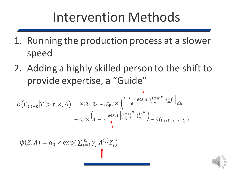### Intervention Methods

- 1. Running the production process at a slower speed
- 2. Adding a highly skilled person to the shift to provide expertise, a "Guide"

$$
E\left(C_{t,t+s}|T>t,Z,A\right) = \omega(g_1,g_2,...,g_p) \times \int_t^{t+s} e^{-\psi(Z,A)} \left[\frac{(t+u)}{\eta}\right]_{\ell}^{\beta} - \left(\frac{t}{\eta}\right)^{\beta}\right]_{\ell}^{2} du
$$

$$
-C_F \times \left(1 - e^{-\psi(Z,A)} \left[\frac{(t+s)}{\eta}\right]_{\ell}^{\beta} - \left(\frac{t}{\eta}\right)^{\beta}\right]_{\ell}^{2} - \vartheta(g_1,g_2,...,g_p)
$$

 $\psi(Z, A) = a_0 \times \exp(\sum_{j=1}^m \gamma_j A^{(j)} Z_j)$ 

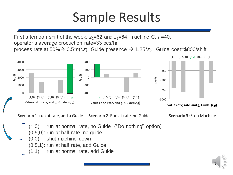### Sample Results

First afternoon shift of the week,  $z_1=62$  and  $z_2=64$ , machine C,  $t=40$ , operator's average production rate=33 pcs/hr, process rate at 50%→ 0.5\**h*(*t,z*), Guide presence → 1.25\* $z$ <sub>2</sub> , Guide cost=\$800/shift





**Scenario 1**: run at rate, add a Guide **Scenario 2**: Run at rate, no Guide **Scenario 3:** Stop Machine

(1,0): run at normal rate, no Guide ("Do nothing" option) (0.5,0): run at half rate, no guide shut machine down (0.5,1): run at half rate, add Guide run at normal rate, add Guide

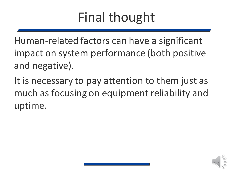# Final thought

Human-related factors can have a significant impact on system performance (both positive and negative).

It is necessary to pay attention to them just as much as focusing on equipment reliability and uptime.